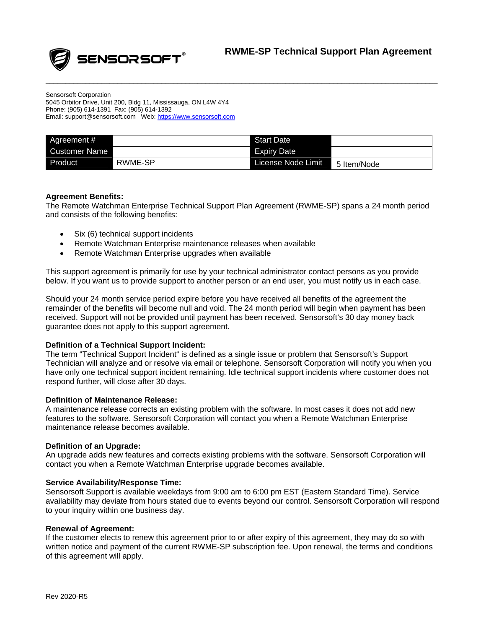

Sensorsoft Corporation 5045 Orbitor Drive, Unit 200, Bldg 11, Mississauga, ON L4W 4Y4 Phone: (905) 614-1391 Fax: (905) 614-1392 Email: support@sensorsoft.com Web: [https://www.sensorsoft.com](https://www.sensorsoft.com/)

| Agreement #          |         | <b>Start Date</b>  |             |
|----------------------|---------|--------------------|-------------|
| <b>Customer Name</b> |         | Expiry Date        |             |
| Product              | RWME-SP | License Node Limit | 5 Item/Node |

\_\_\_\_\_\_\_\_\_\_\_\_\_\_\_\_\_\_\_\_\_\_\_\_\_\_\_\_\_\_\_\_\_\_\_\_\_\_\_\_\_\_\_\_\_\_\_\_\_\_\_\_\_\_\_\_\_\_\_\_\_\_\_\_\_\_\_\_\_\_\_\_\_\_\_\_\_\_\_\_\_\_\_\_\_\_\_\_\_\_\_\_\_\_\_\_\_\_

# **Agreement Benefits:**

The Remote Watchman Enterprise Technical Support Plan Agreement (RWME-SP) spans a 24 month period and consists of the following benefits:

- Six (6) technical support incidents
- Remote Watchman Enterprise maintenance releases when available
- Remote Watchman Enterprise upgrades when available

This support agreement is primarily for use by your technical administrator contact persons as you provide below. If you want us to provide support to another person or an end user, you must notify us in each case.

Should your 24 month service period expire before you have received all benefits of the agreement the remainder of the benefits will become null and void. The 24 month period will begin when payment has been received. Support will not be provided until payment has been received. Sensorsoft's 30 day money back guarantee does not apply to this support agreement.

# **Definition of a Technical Support Incident:**

The term "Technical Support Incident" is defined as a single issue or problem that Sensorsoft's Support Technician will analyze and or resolve via email or telephone. Sensorsoft Corporation will notify you when you have only one technical support incident remaining. Idle technical support incidents where customer does not respond further, will close after 30 days.

# **Definition of Maintenance Release:**

A maintenance release corrects an existing problem with the software. In most cases it does not add new features to the software. Sensorsoft Corporation will contact you when a Remote Watchman Enterprise maintenance release becomes available.

### **Definition of an Upgrade:**

An upgrade adds new features and corrects existing problems with the software. Sensorsoft Corporation will contact you when a Remote Watchman Enterprise upgrade becomes available.

### **Service Availability/Response Time:**

Sensorsoft Support is available weekdays from 9:00 am to 6:00 pm EST (Eastern Standard Time). Service availability may deviate from hours stated due to events beyond our control. Sensorsoft Corporation will respond to your inquiry within one business day.

### **Renewal of Agreement:**

If the customer elects to renew this agreement prior to or after expiry of this agreement, they may do so with written notice and payment of the current RWME-SP subscription fee. Upon renewal, the terms and conditions of this agreement will apply.